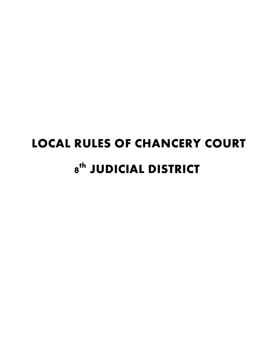# **LOCAL RULES OF CHANCERY COURT 8 JUDICIAL DISTRICT th**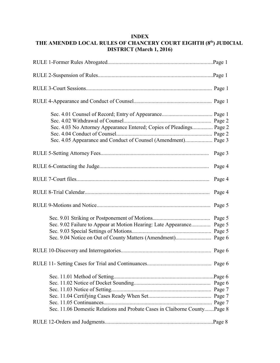# **INDEX THE AMENDED LOCAL RULES OF CHANCERY COURT EIGHTH (8 ) JUDICIAL th DISTRICT (March 1, 2016)**

| Sec. 4.03 No Attorney Appearance Entered; Copies of Pleadings Page 2<br>Sec. 4.05 Appearance and Conduct of Counsel (Amendment) Page 3 |                            |
|----------------------------------------------------------------------------------------------------------------------------------------|----------------------------|
|                                                                                                                                        | Page 3                     |
|                                                                                                                                        | Page 4                     |
|                                                                                                                                        | Page 4                     |
|                                                                                                                                        | Page 4                     |
|                                                                                                                                        | Page 5                     |
| Sec. 9.02 Failure to Appear at Motion Hearing: Late Appearance                                                                         | Page 5<br>Page 5<br>Page 5 |
|                                                                                                                                        |                            |
|                                                                                                                                        |                            |
| Sec. 11.06 Domestic Relations and Probate Cases in Claiborne CountyPage 8                                                              |                            |
|                                                                                                                                        |                            |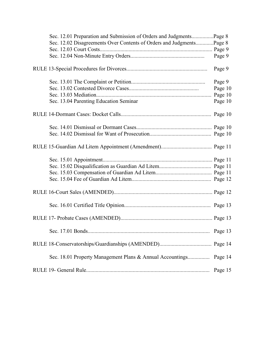| Sec. 12.01 Preparation and Submission of Orders and JudgmentsPage 8  |         |
|----------------------------------------------------------------------|---------|
| Sec. 12.02 Disagreements Over Contents of Orders and JudgmentsPage 8 |         |
|                                                                      |         |
|                                                                      | Page 9  |
|                                                                      | Page 9  |
|                                                                      | Page 9  |
|                                                                      | Page 10 |
|                                                                      |         |
| Sec. 13.04 Parenting Education Seminar                               | Page 10 |
|                                                                      |         |
|                                                                      |         |
|                                                                      |         |
|                                                                      |         |
|                                                                      |         |
|                                                                      |         |
|                                                                      |         |
|                                                                      |         |
|                                                                      |         |
|                                                                      |         |
|                                                                      |         |
|                                                                      |         |
|                                                                      |         |
| Sec. 18.01 Property Management Plans & Annual Accountings Page 14    |         |
|                                                                      | Page 15 |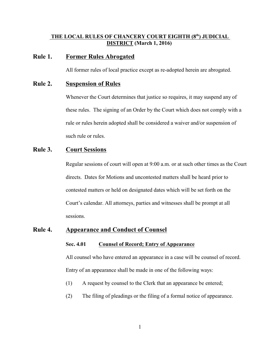## **THE LOCAL RULES OF CHANCERY COURT EIGHTH (8 ) JUDICIAL th DISTRICT (March 1, 2016)**

## **Rule 1. Former Rules Abrogated**

All former rules of local practice except as re-adopted herein are abrogated.

## **Rule 2. Suspension of Rules**

Whenever the Court determines that justice so requires, it may suspend any of these rules. The signing of an Order by the Court which does not comply with a rule or rules herein adopted shall be considered a waiver and/or suspension of such rule or rules.

# **Rule 3. Court Sessions**

Regular sessions of court will open at 9:00 a.m. or at such other times as the Court directs. Dates for Motions and uncontested matters shall be heard prior to contested matters or held on designated dates which will be set forth on the Court's calendar. All attorneys, parties and witnesses shall be prompt at all sessions.

## **Rule 4. Appearance and Conduct of Counsel**

#### **Sec. 4.01 Counsel of Record; Entry of Appearance**

All counsel who have entered an appearance in a case will be counsel of record. Entry of an appearance shall be made in one of the following ways:

- (1) A request by counsel to the Clerk that an appearance be entered;
- (2) The filing of pleadings or the filing of a formal notice of appearance.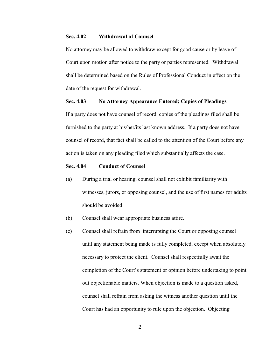#### **Sec. 4.02 Withdrawal of Counsel**

No attorney may be allowed to withdraw except for good cause or by leave of Court upon motion after notice to the party or parties represented. Withdrawal shall be determined based on the Rules of Professional Conduct in effect on the date of the request for withdrawal.

#### **Sec. 4.03 No Attorney Appearance Entered; Copies of Pleadings**

If a party does not have counsel of record, copies of the pleadings filed shall be furnished to the party at his/her/its last known address. If a party does not have counsel of record, that fact shall be called to the attention of the Court before any action is taken on any pleading filed which substantially affects the case.

## **Sec. 4.04 Conduct of Counsel**

- (a) During a trial or hearing, counsel shall not exhibit familiarity with witnesses, jurors, or opposing counsel, and the use of first names for adults should be avoided.
- (b) Counsel shall wear appropriate business attire.
- (c) Counsel shall refrain from interrupting the Court or opposing counsel until any statement being made is fully completed, except when absolutely necessary to protect the client. Counsel shall respectfully await the completion of the Court's statement or opinion before undertaking to point out objectionable matters. When objection is made to a question asked, counsel shall refrain from asking the witness another question until the Court has had an opportunity to rule upon the objection. Objecting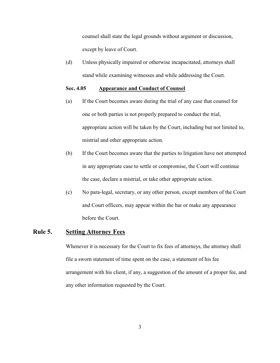counsel shall state the legal grounds without argument or discussion, except by leave of Court.

(d) Unless physically impaired or otherwise incapacitated, attorneys shall stand while examining witnesses and while addressing the Court.

## **Sec. 4.05 Appearance and Conduct of Counsel**

- (a) If the Court becomes aware during the trial of any case that counsel for one or both parties is not properly prepared to conduct the trial, appropriate action will be taken by the Court, including but not limited to, mistrial and other appropriate action.
- (b) If the Court becomes aware that the parties to litigation have not attempted in any appropriate case to settle or compromise, the Court will continue the case, declare a mistrial, or take other appropriate action.
- (c) No para-legal, secretary, or any other person, except members of the Court and Court officers, may appear within the bar or make any appearance before the Court.

## **Rule 5. Setting Attorney Fees**

Whenever it is necessary for the Court to fix fees of attorneys, the attorney shall file a sworn statement of time spent on the case, a statement of his fee arrangement with his client, if any, a suggestion of the amount of a proper fee, and any other information requested by the Court.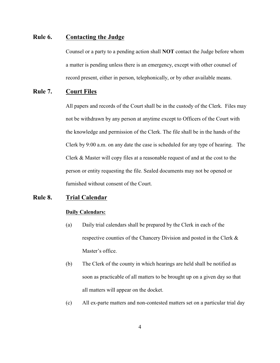# **Rule 6. Contacting the Judge**

Counsel or a party to a pending action shall **NOT** contact the Judge before whom a matter is pending unless there is an emergency, except with other counsel of record present, either in person, telephonically, or by other available means.

# **Rule 7. Court Files**

All papers and records of the Court shall be in the custody of the Clerk. Files may not be withdrawn by any person at anytime except to Officers of the Court with the knowledge and permission of the Clerk. The file shall be in the hands of the Clerk by 9:00 a.m. on any date the case is scheduled for any type of hearing. The Clerk & Master will copy files at a reasonable request of and at the cost to the person or entity requesting the file. Sealed documents may not be opened or furnished without consent of the Court.

# **Rule 8. Trial Calendar**

#### **Daily Calendars:**

- (a) Daily trial calendars shall be prepared by the Clerk in each of the respective counties of the Chancery Division and posted in the Clerk & Master's office.
- (b) The Clerk of the county in which hearings are held shall be notified as soon as practicable of all matters to be brought up on a given day so that all matters will appear on the docket.
- (c) All ex-parte matters and non-contested matters set on a particular trial day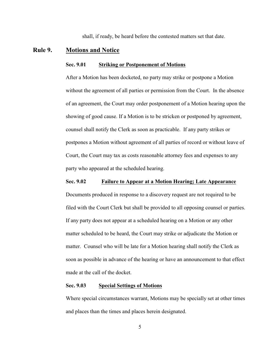shall, if ready, be heard before the contested matters set that date.

#### **Rule 9. Motions and Notice**

#### **Sec. 9.01 Striking or Postponement of Motions**

After a Motion has been docketed, no party may strike or postpone a Motion without the agreement of all parties or permission from the Court. In the absence of an agreement, the Court may order postponement of a Motion hearing upon the showing of good cause. If a Motion is to be stricken or postponed by agreement, counsel shall notify the Clerk as soon as practicable. If any party strikes or postpones a Motion without agreement of all parties of record or without leave of Court, the Court may tax as costs reasonable attorney fees and expenses to any party who appeared at the scheduled hearing.

#### **Sec. 9.02 Failure to Appear at a Motion Hearing; Late Appearance**

Documents produced in response to a discovery request are not required to be filed with the Court Clerk but shall be provided to all opposing counsel or parties. If any party does not appear at a scheduled hearing on a Motion or any other matter scheduled to be heard, the Court may strike or adjudicate the Motion or matter. Counsel who will be late for a Motion hearing shall notify the Clerk as soon as possible in advance of the hearing or have an announcement to that effect made at the call of the docket.

#### **Sec. 9.03 Special Settings of Motions**

Where special circumstances warrant, Motions may be specially set at other times and places than the times and places herein designated.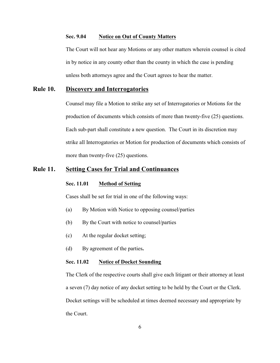## **Sec. 9.04 Notice on Out of County Matters**

The Court will not hear any Motions or any other matters wherein counsel is cited in by notice in any county other than the county in which the case is pending unless both attorneys agree and the Court agrees to hear the matter.

# **Rule 10. Discovery and Interrogatories**

Counsel may file a Motion to strike any set of Interrogatories or Motions for the production of documents which consists of more than twenty-five (25) questions. Each sub-part shall constitute a new question. The Court in its discretion may strike all Interrogatories or Motion for production of documents which consists of more than twenty-five (25) questions.

# **Rule 11. Setting Cases for Trial and Continuances**

### **Sec. 11.01 Method of Setting**

Cases shall be set for trial in one of the following ways:

- (a) By Motion with Notice to opposing counsel/parties
- (b) By the Court with notice to counsel/parties
- (c) At the regular docket setting;
- (d) By agreement of the parties**.**

#### **Sec. 11.02 Notice of Docket Sounding**

The Clerk of the respective courts shall give each litigant or their attorney at least a seven (7) day notice of any docket setting to be held by the Court or the Clerk. Docket settings will be scheduled at times deemed necessary and appropriate by the Court.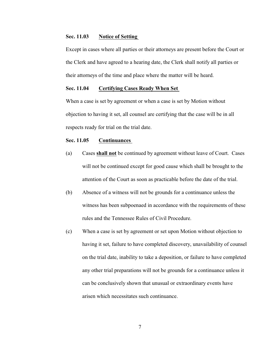#### **Sec. 11.03 Notice of Setting**

Except in cases where all parties or their attorneys are present before the Court or the Clerk and have agreed to a hearing date, the Clerk shall notify all parties or their attorneys of the time and place where the matter will be heard.

#### **Sec. 11.04 Certifying Cases Ready When Set**

When a case is set by agreement or when a case is set by Motion without objection to having it set, all counsel are certifying that the case will be in all respects ready for trial on the trial date.

#### **Sec. 11.05 Continuances**

- (a) Cases **shall not** be continued by agreement without leave of Court. Cases will not be continued except for good cause which shall be brought to the attention of the Court as soon as practicable before the date of the trial.
- (b) Absence of a witness will not be grounds for a continuance unless the witness has been subpoenaed in accordance with the requirements of these rules and the Tennessee Rules of Civil Procedure.
- (c) When a case is set by agreement or set upon Motion without objection to having it set, failure to have completed discovery, unavailability of counsel on the trial date, inability to take a deposition, or failure to have completed any other trial preparations will not be grounds for a continuance unless it can be conclusively shown that unusual or extraordinary events have arisen which necessitates such continuance.

7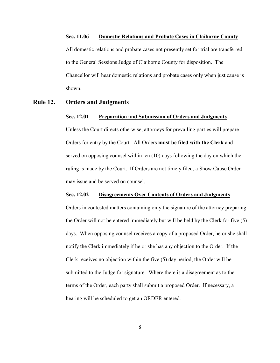#### **Sec. 11.06 Domestic Relations and Probate Cases in Claiborne County**

All domestic relations and probate cases not presently set for trial are transferred to the General Sessions Judge of Claiborne County for disposition. The Chancellor will hear domestic relations and probate cases only when just cause is shown.

## **Rule 12. Orders and Judgments**

#### **Sec. 12.01 Preparation and Submission of Orders and Judgments**

Unless the Court directs otherwise, attorneys for prevailing parties will prepare Orders for entry by the Court. All Orders **must be filed with the Clerk** and served on opposing counsel within ten (10) days following the day on which the ruling is made by the Court. If Orders are not timely filed, a Show Cause Order may issue and be served on counsel.

#### **Sec. 12.02 Disagreements Over Contents of Orders and Judgments**

Orders in contested matters containing only the signature of the attorney preparing the Order will not be entered immediately but will be held by the Clerk for five (5) days. When opposing counsel receives a copy of a proposed Order, he or she shall notify the Clerk immediately if he or she has any objection to the Order. If the Clerk receives no objection within the five (5) day period, the Order will be submitted to the Judge for signature. Where there is a disagreement as to the terms of the Order, each party shall submit a proposed Order. If necessary, a hearing will be scheduled to get an ORDER entered.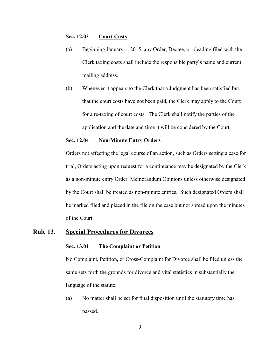#### **Sec. 12.03 Court Costs**

- (a) Beginning January 1, 2015, any Order, Decree, or pleading filed with the Clerk taxing costs shall include the responsible party's name and current mailing address.
- (b) Whenever it appears to the Clerk that a Judgment has been satisfied but that the court costs have not been paid, the Clerk may apply to the Court for a re-taxing of court costs. The Clerk shall notify the parties of the application and the date and time it will be considered by the Court.

#### **Sec. 12.04 Non-Minute Entry Orders**

Orders not affecting the legal course of an action, such as Orders setting a case for trial, Orders acting upon request for a continuance may be designated by the Clerk as a non-minute entry Order. Memorandum Opinions unless otherwise designated by the Court shall be treated as non-minute entries. Such designated Orders shall be marked filed and placed in the file on the case but not spread upon the minutes of the Court.

# **Rule 13. Special Procedures for Divorces**

#### **Sec. 13.01 The Complaint or Petition**

No Complaint, Petition, or Cross-Complaint for Divorce shall be filed unless the same sets forth the grounds for divorce and vital statistics in substantially the language of the statute.

(a) No matter shall be set for final disposition until the statutory time has passed.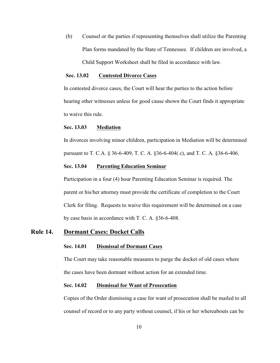(b) Counsel or the parties if representing themselves shall utilize the Parenting Plan forms mandated by the State of Tennessee. If children are involved, a Child Support Worksheet shall be filed in accordance with law.

## **Sec. 13.02 Contested Divorce Cases**

In contested divorce cases, the Court will hear the parties to the action before hearing other witnesses unless for good cause shown the Court finds it appropriate to waive this rule.

## **Sec. 13.03 Mediation**

In divorces involving minor children, participation in Mediation will be determined pursuant to T. C.A. § 36-6-409, T. C. A. §36-6-404( c), and T. C. A. §36-6-406.

## **Sec. 13.04 Parenting Education Seminar**

Participation in a four (4) hour Parenting Education Seminar is required. The parent or his/her attorney must provide the certificate of completion to the Court Clerk for filing. Requests to waive this requirement will be determined on a case by case basis in accordance with T. C. A. §36-6-408.

## **Rule 14. Dormant Cases: Docket Calls**

#### **Sec. 14.01 Dismissal of Dormant Cases**

The Court may take reasonable measures to purge the docket of old cases where the cases have been dormant without action for an extended time.

#### **Sec. 14.02 Dismissal for Want of Prosecution**

Copies of the Order dismissing a case for want of prosecution shall be mailed to all counsel of record or to any party without counsel, if his or her whereabouts can be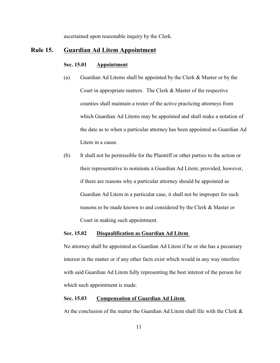ascertained upon reasonable inquiry by the Clerk.

## **Rule 15. Guardian Ad Litem Appointment**

#### **Sec. 15.01 Appointment**

- (a) Guardian Ad Litems shall be appointed by the Clerk & Master or by the Court in appropriate matters. The Clerk & Master of the respective counties shall maintain a roster of the active practicing attorneys from which Guardian Ad Litems may be appointed and shall make a notation of the date as to when a particular attorney has been appointed as Guardian Ad Litem in a cause.
- (b) It shall not be permissible for the Plaintiff or other parties to the action or their representative to nominate a Guardian Ad Litem; provided, however, if there are reasons why a particular attorney should be appointed as Guardian Ad Litem in a particular case, it shall not be improper for such reasons to be made known to and considered by the Clerk & Master or Court in making such appointment.

#### **Sec. 15.02 Disqualification as Guardian Ad Litem**

No attorney shall be appointed as Guardian Ad Litem if he or she has a pecuniary interest in the matter or if any other facts exist which would in any way interfere with said Guardian Ad Litem fully representing the best interest of the person for which such appointment is made.

## **Sec. 15.03 Compensation of Guardian Ad Litem**

At the conclusion of the matter the Guardian Ad Litem shall file with the Clerk  $\&$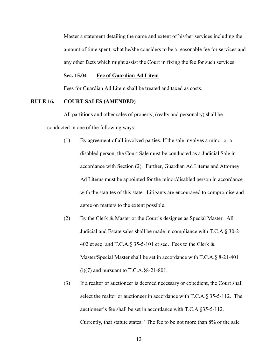Master a statement detailing the name and extent of his/her services including the amount of time spent, what he/she considers to be a reasonable fee for services and any other facts which might assist the Court in fixing the fee for such services.

## **Sec. 15.04 Fee of Guardian Ad Litem**

Fees for Guardian Ad Litem shall be treated and taxed as costs.

## **RULE 16. COURT SALES (AMENDED)**

All partitions and other sales of property, (realty and personalty) shall be conducted in one of the following ways:

- (1) By agreement of all involved parties. If the sale involves a minor or a disabled person, the Court Sale must be conducted as a Judicial Sale in accordance with Section (2). Further, Guardian Ad Litems and Attorney Ad Litems must be appointed for the minor/disabled person in accordance with the statutes of this state. Litigants are encouraged to compromise and agree on matters to the extent possible.
- (2) By the Clerk & Master or the Court's designee as Special Master. All Judicial and Estate sales shall be made in compliance with T.C.A.§ 30-2- 402 et seq. and T.C.A. § 35-5-101 et seq. Fees to the Clerk  $\&$ Master/Special Master shall be set in accordance with T.C.A.§ 8-21-401  $(i)(7)$  and pursuant to T.C.A.§8-21-801.
- (3) If a realtor or auctioneer is deemed necessary or expedient, the Court shall select the realtor or auctioneer in accordance with T.C.A.§ 35-5-112. The auctioneer's fee shall be set in accordance with T.C.A.§35-5-112. Currently, that statute states: "The fee to be not more than 8% of the sale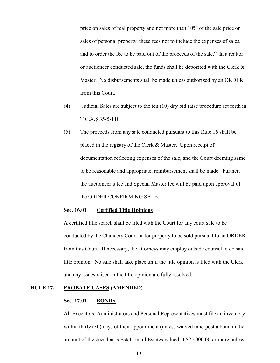price on sales of real property and not more than 10% of the sale price on sales of personal property, these fees not to include the expenses of sales, and to order the fee to be paid out of the proceeds of the sale." In a realtor or auctioneer conducted sale, the funds shall be deposited with the Clerk  $\&$ Master. No disbursements shall be made unless authorized by an ORDER from this Court.

- (4) Judicial Sales are subject to the ten (10) day bid raise procedure set forth in T.C.A.§ 35-5-110.
- (5) The proceeds from any sale conducted pursuant to this Rule 16 shall be placed in the registry of the Clerk & Master. Upon receipt of documentation reflecting expenses of the sale, and the Court deeming same to be reasonable and appropriate, reimbursement shall be made. Further, the auctioneer's fee and Special Master fee will be paid upon approval of the ORDER CONFIRMING SALE.

#### **Sec. 16.01 Certified Title Opinions**

A certified title search shall be filed with the Court for any court sale to be conducted by the Chancery Court or for property to be sold pursuant to an ORDER from this Court. If necessary, the attorneys may employ outside counsel to do said title opinion. No sale shall take place until the title opinion is filed with the Clerk and any issues raised in the title opinion are fully resolved.

## **RULE 17. PROBATE CASES (AMENDED)**

#### **Sec. 17.01 BONDS**

All Executors, Administrators and Personal Representatives must file an inventory within thirty (30) days of their appointment (unless waived) and post a bond in the amount of the decedent's Estate in all Estates valued at \$25,000.00 or more unless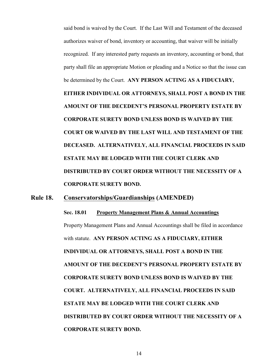said bond is waived by the Court. If the Last Will and Testament of the deceased authorizes waiver of bond, inventory or accounting, that waiver will be initially recognized. If any interested party requests an inventory, accounting or bond, that party shall file an appropriate Motion or pleading and a Notice so that the issue can be determined by the Court. **ANY PERSON ACTING AS A FIDUCIARY, EITHER INDIVIDUAL OR ATTORNEYS, SHALL POST A BOND IN THE AMOUNT OF THE DECEDENT'S PERSONAL PROPERTY ESTATE BY CORPORATE SURETY BOND UNLESS BOND IS WAIVED BY THE COURT OR WAIVED BY THE LAST WILL AND TESTAMENT OF THE DECEASED. ALTERNATIVELY, ALL FINANCIAL PROCEEDS IN SAID ESTATE MAY BE LODGED WITH THE COURT CLERK AND DISTRIBUTED BY COURT ORDER WITHOUT THE NECESSITY OF A CORPORATE SURETY BOND.** 

# **Rule 18. Conservatorships/Guardianships (AMENDED)**

**Sec. 18.01 Property Management Plans & Annual Accountings** Property Management Plans and Annual Accountings shall be filed in accordance with statute. **ANY PERSON ACTING AS A FIDUCIARY, EITHER INDIVIDUAL OR ATTORNEYS, SHALL POST A BOND IN THE AMOUNT OF THE DECEDENT'S PERSONAL PROPERTY ESTATE BY CORPORATE SURETY BOND UNLESS BOND IS WAIVED BY THE COURT. ALTERNATIVELY, ALL FINANCIAL PROCEEDS IN SAID ESTATE MAY BE LODGED WITH THE COURT CLERK AND DISTRIBUTED BY COURT ORDER WITHOUT THE NECESSITY OF A CORPORATE SURETY BOND.**